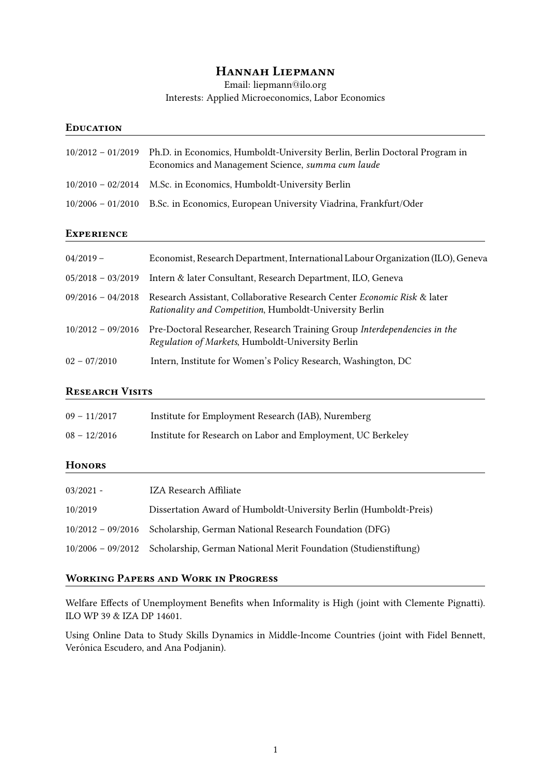# Hannah Liepmann

Email: liepmann@ilo.org Interests: Applied Microeconomics, Labor Economics

### **EDUCATION**

| 10/2012 - 01/2019 Ph.D. in Economics, Humboldt-University Berlin, Berlin Doctoral Program in<br>Economics and Management Science, summa cum laude |
|---------------------------------------------------------------------------------------------------------------------------------------------------|
| 10/2010 – 02/2014 M.Sc. in Economics, Humboldt-University Berlin                                                                                  |
| 10/2006 – 01/2010 B.Sc. in Economics, European University Viadrina, Frankfurt/Oder                                                                |

#### **EXPERIENCE**

| $04/2019 -$         | Economist, Research Department, International Labour Organization (ILO), Geneva                                                    |
|---------------------|------------------------------------------------------------------------------------------------------------------------------------|
| $05/2018 - 03/2019$ | Intern & later Consultant, Research Department, ILO, Geneva                                                                        |
| $09/2016 - 04/2018$ | Research Assistant, Collaborative Research Center Economic Risk & later<br>Rationality and Competition, Humboldt-University Berlin |
| $10/2012 - 09/2016$ | Pre-Doctoral Researcher, Research Training Group Interdependencies in the<br>Regulation of Markets, Humboldt-University Berlin     |
| $02 - 07/2010$      | Intern, Institute for Women's Policy Research, Washington, DC                                                                      |

# RESEARCH VISITS

| $09 - 11/2017$ | Institute for Employment Research (IAB), Nuremberg          |
|----------------|-------------------------------------------------------------|
| $08 - 12/2016$ | Institute for Research on Labor and Employment, UC Berkeley |

### **HONORS**

| $03/2021 -$ | IZA Research Affiliate                                                            |
|-------------|-----------------------------------------------------------------------------------|
| 10/2019     | Dissertation Award of Humboldt-University Berlin (Humboldt-Preis)                 |
|             | 10/2012 - 09/2016 Scholarship, German National Research Foundation (DFG)          |
|             | 10/2006 - 09/2012 Scholarship, German National Merit Foundation (Studienstiftung) |

# Working Papers and Work in Progress

Welfare Effects of Unemployment Benefits when Informality is High (joint with Clemente Pignatti). ILO WP 39 & IZA DP 14601.

Using Online Data to Study Skills Dynamics in Middle-Income Countries (joint with Fidel Bennett, Verónica Escudero, and Ana Podjanin).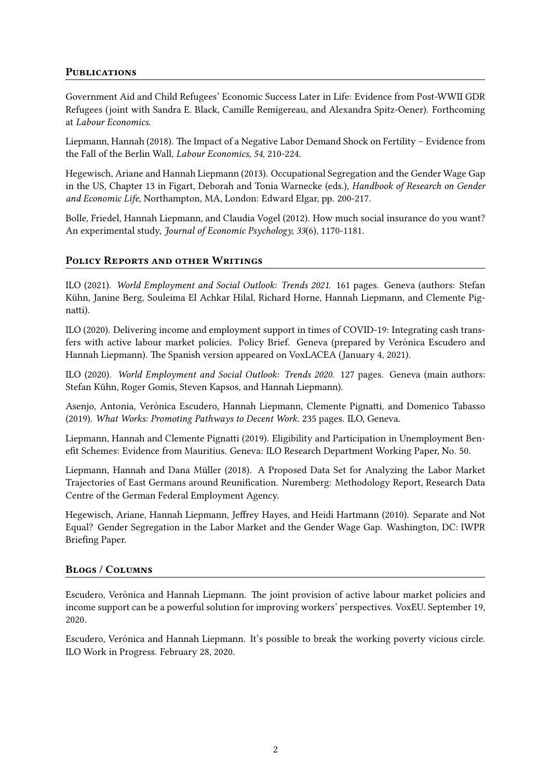# **PUBLICATIONS**

Government Aid and Child Refugees' Economic Success Later in Life: Evidence from Post-WWII GDR Refugees (joint with Sandra E. Black, Camille Remigereau, and Alexandra Spitz-Oener). Forthcoming at Labour Economics.

Liepmann, Hannah (2018). The Impact of a Negative Labor Demand Shock on Fertility – Evidence from the Fall of the Berlin Wall, Labour Economics, 54, 210-224.

Hegewisch, Ariane and Hannah Liepmann (2013). Occupational Segregation and the Gender Wage Gap in the US, Chapter 13 in Figart, Deborah and Tonia Warnecke (eds.), Handbook of Research on Gender and Economic Life, Northampton, MA, London: Edward Elgar, pp. 200-217.

Bolle, Friedel, Hannah Liepmann, and Claudia Vogel (2012). How much social insurance do you want? An experimental study, Journal of Economic Psychology, 33(6), 1170-1181.

### POLICY REPORTS AND OTHER WRITINGS

ILO (2021). World Employment and Social Outlook: Trends 2021. 161 pages. Geneva (authors: Stefan Kühn, Janine Berg, Souleima El Achkar Hilal, Richard Horne, Hannah Liepmann, and Clemente Pignatti).

ILO (2020). Delivering income and employment support in times of COVID-19: Integrating cash transfers with active labour market policies. Policy Brief. Geneva (prepared by Verónica Escudero and Hannah Liepmann). The Spanish version appeared on VoxLACEA (January 4, 2021).

ILO (2020). World Employment and Social Outlook: Trends 2020. 127 pages. Geneva (main authors: Stefan Kühn, Roger Gomis, Steven Kapsos, and Hannah Liepmann).

Asenjo, Antonia, Verónica Escudero, Hannah Liepmann, Clemente Pignatti, and Domenico Tabasso (2019). What Works: Promoting Pathways to Decent Work. 235 pages. ILO, Geneva.

Liepmann, Hannah and Clemente Pignatti (2019). Eligibility and Participation in Unemployment Benefit Schemes: Evidence from Mauritius. Geneva: ILO Research Department Working Paper, No. 50.

Liepmann, Hannah and Dana Müller (2018). A Proposed Data Set for Analyzing the Labor Market Trajectories of East Germans around Reunification. Nuremberg: Methodology Report, Research Data Centre of the German Federal Employment Agency.

Hegewisch, Ariane, Hannah Liepmann, Jeffrey Hayes, and Heidi Hartmann (2010). Separate and Not Equal? Gender Segregation in the Labor Market and the Gender Wage Gap. Washington, DC: IWPR Briefing Paper.

### Blogs / Columns

Escudero, Verónica and Hannah Liepmann. The joint provision of active labour market policies and income support can be a powerful solution for improving workers' perspectives. VoxEU. September 19, 2020.

Escudero, Verónica and Hannah Liepmann. It's possible to break the working poverty vicious circle. ILO Work in Progress. February 28, 2020.